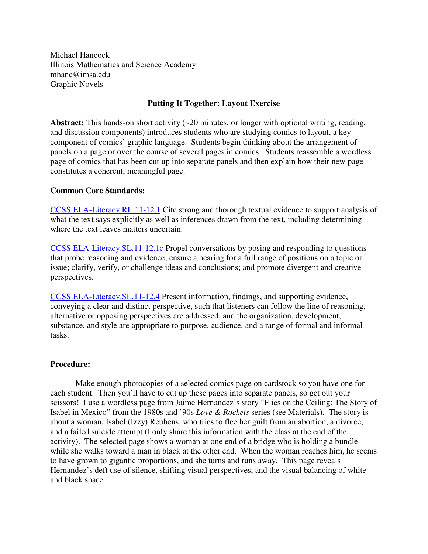Michael Hancock Illinois Mathematics and Science Academy mhanc@imsa.edu Graphic Novels

## **Putting It Together: Layout Exercise**

Abstract: This hands-on short activity (~20 minutes, or longer with optional writing, reading, and discussion components) introduces students who are studying comics to layout, a key component of comics' graphic language. Students begin thinking about the arrangement of panels on a page or over the course of several pages in comics. Students reassemble a wordless page of comics that has been cut up into separate panels and then explain how their new page constitutes a coherent, meaningful page.

## **Common Core Standards:**

CCSS.ELA-Literacy.RL.11-12.1 Cite strong and thorough textual evidence to support analysis of what the text says explicitly as well as inferences drawn from the text, including determining where the text leaves matters uncertain.

CCSS.ELA-Literacy.SL.11-12.1c Propel conversations by posing and responding to questions that probe reasoning and evidence; ensure a hearing for a full range of positions on a topic or issue; clarify, verify, or challenge ideas and conclusions; and promote divergent and creative perspectives.

CCSS.ELA-Literacy.SL.11-12.4 Present information, findings, and supporting evidence, conveying a clear and distinct perspective, such that listeners can follow the line of reasoning, alternative or opposing perspectives are addressed, and the organization, development, substance, and style are appropriate to purpose, audience, and a range of formal and informal tasks.

## **Procedure:**

Make enough photocopies of a selected comics page on cardstock so you have one for each student. Then you'll have to cut up these pages into separate panels, so get out your scissors! I use a wordless page from Jaime Hernandez's story "Flies on the Ceiling: The Story of Isabel in Mexico" from the 1980s and '90s *Love & Rockets* series (see Materials). The story is about a woman, Isabel (Izzy) Reubens, who tries to flee her guilt from an abortion, a divorce, and a failed suicide attempt (I only share this information with the class at the end of the activity). The selected page shows a woman at one end of a bridge who is holding a bundle while she walks toward a man in black at the other end. When the woman reaches him, he seems to have grown to gigantic proportions, and she turns and runs away. This page reveals Hernandez's deft use of silence, shifting visual perspectives, and the visual balancing of white and black space.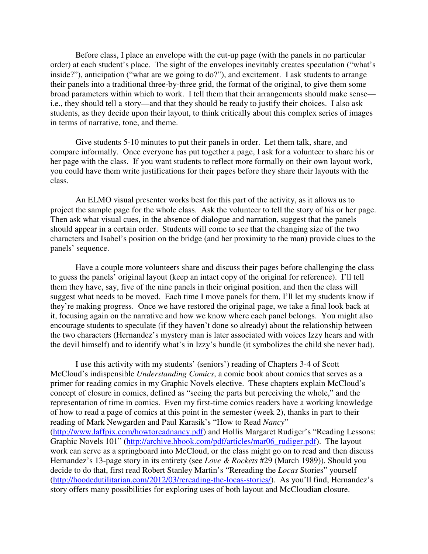Before class, I place an envelope with the cut-up page (with the panels in no particular order) at each student's place. The sight of the envelopes inevitably creates speculation ("what's inside?"), anticipation ("what are we going to do?"), and excitement. I ask students to arrange their panels into a traditional three-by-three grid, the format of the original, to give them some broad parameters within which to work. I tell them that their arrangements should make sense i.e., they should tell a story—and that they should be ready to justify their choices. I also ask students, as they decide upon their layout, to think critically about this complex series of images in terms of narrative, tone, and theme.

Give students 5-10 minutes to put their panels in order. Let them talk, share, and compare informally. Once everyone has put together a page, I ask for a volunteer to share his or her page with the class. If you want students to reflect more formally on their own layout work, you could have them write justifications for their pages before they share their layouts with the class.

An ELMO visual presenter works best for this part of the activity, as it allows us to project the sample page for the whole class. Ask the volunteer to tell the story of his or her page. Then ask what visual cues, in the absence of dialogue and narration, suggest that the panels should appear in a certain order. Students will come to see that the changing size of the two characters and Isabel's position on the bridge (and her proximity to the man) provide clues to the panels' sequence.

Have a couple more volunteers share and discuss their pages before challenging the class to guess the panels' original layout (keep an intact copy of the original for reference). I'll tell them they have, say, five of the nine panels in their original position, and then the class will suggest what needs to be moved. Each time I move panels for them, I'll let my students know if they're making progress. Once we have restored the original page, we take a final look back at it, focusing again on the narrative and how we know where each panel belongs. You might also encourage students to speculate (if they haven't done so already) about the relationship between the two characters (Hernandez's mystery man is later associated with voices Izzy hears and with the devil himself) and to identify what's in Izzy's bundle (it symbolizes the child she never had).

I use this activity with my students' (seniors') reading of Chapters 3-4 of Scott McCloud's indispensible *Understanding Comics*, a comic book about comics that serves as a primer for reading comics in my Graphic Novels elective. These chapters explain McCloud's concept of closure in comics, defined as "seeing the parts but perceiving the whole," and the representation of time in comics. Even my first-time comics readers have a working knowledge of how to read a page of comics at this point in the semester (week 2), thanks in part to their reading of Mark Newgarden and Paul Karasik's "How to Read *Nancy*" (http://www.laffpix.com/howtoreadnancy.pdf) and Hollis Margaret Rudiger's "Reading Lessons: Graphic Novels 101" (http://archive.hbook.com/pdf/articles/mar06\_rudiger.pdf). The layout work can serve as a springboard into McCloud, or the class might go on to read and then discuss Hernandez's 13-page story in its entirety (see *Love & Rockets* #29 (March 1989)). Should you decide to do that, first read Robert Stanley Martin's "Rereading the *Locas* Stories" yourself (http://hoodedutilitarian.com/2012/03/rereading-the-locas-stories/). As you'll find, Hernandez's story offers many possibilities for exploring uses of both layout and McCloudian closure.